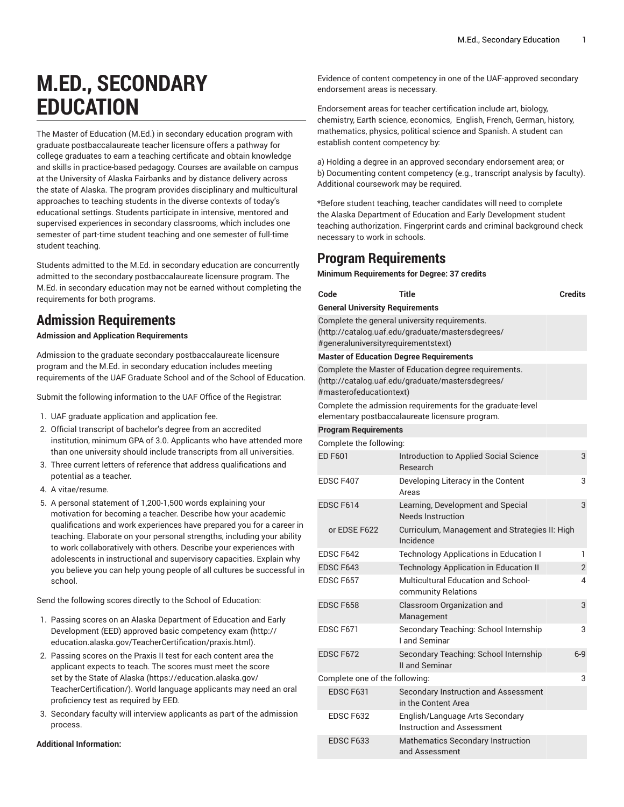# **M.ED., SECONDARY EDUCATION**

The Master of Education (M.Ed.) in secondary education program with graduate postbaccalaureate teacher licensure offers a pathway for college graduates to earn a teaching certificate and obtain knowledge and skills in practice-based pedagogy. Courses are available on campus at the University of Alaska Fairbanks and by distance delivery across the state of Alaska. The program provides disciplinary and multicultural approaches to teaching students in the diverse contexts of today's educational settings. Students participate in intensive, mentored and supervised experiences in secondary classrooms, which includes one semester of part-time student teaching and one semester of full-time student teaching.

Students admitted to the M.Ed. in secondary education are concurrently admitted to the secondary postbaccalaureate licensure program. The M.Ed. in secondary education may not be earned without completing the requirements for both programs.

## **Admission Requirements**

#### **Admission and Application Requirements**

Admission to the graduate secondary postbaccalaureate licensure program and the M.Ed. in secondary education includes meeting requirements of the UAF Graduate School and of the School of Education.

Submit the following information to the UAF Office of the Registrar:

- 1. UAF graduate application and application fee.
- 2. Official transcript of bachelor's degree from an accredited institution, minimum GPA of 3.0. Applicants who have attended more than one university should include transcripts from all universities.
- 3. Three current letters of reference that address qualifications and potential as a teacher.
- 4. A vitae/resume.
- 5. A personal statement of 1,200-1,500 words explaining your motivation for becoming a teacher. Describe how your academic qualifications and work experiences have prepared you for a career in teaching. Elaborate on your personal strengths, including your ability to work collaboratively with others. Describe your experiences with adolescents in instructional and supervisory capacities. Explain why you believe you can help young people of all cultures be successful in school.

Send the following scores directly to the School of Education:

- 1. Passing scores on an Alaska [Department](http://education.alaska.gov/TeacherCertification/praxis.html) of Education and Early [Development](http://education.alaska.gov/TeacherCertification/praxis.html) (EED) approved basic competency exam [\(http://](http://education.alaska.gov/TeacherCertification/praxis.html) [education.alaska.gov/TeacherCertification/praxis.html](http://education.alaska.gov/TeacherCertification/praxis.html)).
- 2. Passing scores on the Praxis II test for each content area the applicant expects to teach. The scores must meet the [score](https://education.alaska.gov/TeacherCertification/) set by the State of [Alaska \(https://education.alaska.gov/](https://education.alaska.gov/TeacherCertification/) [TeacherCertification/\)](https://education.alaska.gov/TeacherCertification/). World language applicants may need an oral proficiency test as required by EED.
- 3. Secondary faculty will interview applicants as part of the admission process.

#### **Additional Information:**

Evidence of content competency in one of the UAF-approved secondary endorsement areas is necessary.

Endorsement areas for teacher certification include art, biology, chemistry, Earth science, economics, English, French, German, history, mathematics, physics, political science and Spanish. A student can establish content competency by:

a) Holding a degree in an approved secondary endorsement area; or b) Documenting content competency (e.g., transcript analysis by faculty). Additional coursework may be required.

\*Before student teaching, teacher candidates will need to complete the Alaska Department of Education and Early Development student teaching authorization. Fingerprint cards and criminal background check necessary to work in schools.

## **Program Requirements**

**Minimum Requirements for Degree: 37 credits**

| Code                                   | Title                                                                                                         | <b>Credits</b> |
|----------------------------------------|---------------------------------------------------------------------------------------------------------------|----------------|
| <b>General University Requirements</b> |                                                                                                               |                |
| #generaluniversityrequirementstext)    | Complete the general university requirements.<br>(http://catalog.uaf.edu/graduate/mastersdegrees/             |                |
|                                        | <b>Master of Education Degree Requirements</b>                                                                |                |
| #masterofeducationtext)                | Complete the Master of Education degree requirements.<br>(http://catalog.uaf.edu/graduate/mastersdegrees/     |                |
|                                        | Complete the admission requirements for the graduate-level<br>elementary postbaccalaureate licensure program. |                |
| <b>Program Requirements</b>            |                                                                                                               |                |
| Complete the following:                |                                                                                                               |                |
| <b>ED F601</b>                         | Introduction to Applied Social Science<br>Research                                                            | 3              |
| EDSC F407                              | Developing Literacy in the Content<br>Areas                                                                   | 3              |
| EDSC F614                              | Learning, Development and Special<br>Needs Instruction                                                        | 3              |
| or EDSE F622                           | Curriculum, Management and Strategies II: High<br>Incidence                                                   |                |
| EDSC F642                              | <b>Technology Applications in Education I</b>                                                                 | 1              |
| EDSC F643                              | <b>Technology Application in Education II</b>                                                                 | 2              |
| EDSC F657                              | <b>Multicultural Education and School-</b><br>community Relations                                             | 4              |
| EDSC F658                              | Classroom Organization and<br>Management                                                                      | 3              |
| EDSC <sub>F671</sub>                   | Secondary Teaching: School Internship<br>I and Seminar                                                        | 3              |
| EDSC F672                              | Secondary Teaching: School Internship<br>II and Seminar                                                       | $6-9$          |
| Complete one of the following:<br>3    |                                                                                                               |                |
| EDSC F631                              | Secondary Instruction and Assessment<br>in the Content Area                                                   |                |
| EDSC F632                              | English/Language Arts Secondary<br><b>Instruction and Assessment</b>                                          |                |
| EDSC F633                              | Mathematics Secondary Instruction<br>and Assessment                                                           |                |
|                                        |                                                                                                               |                |